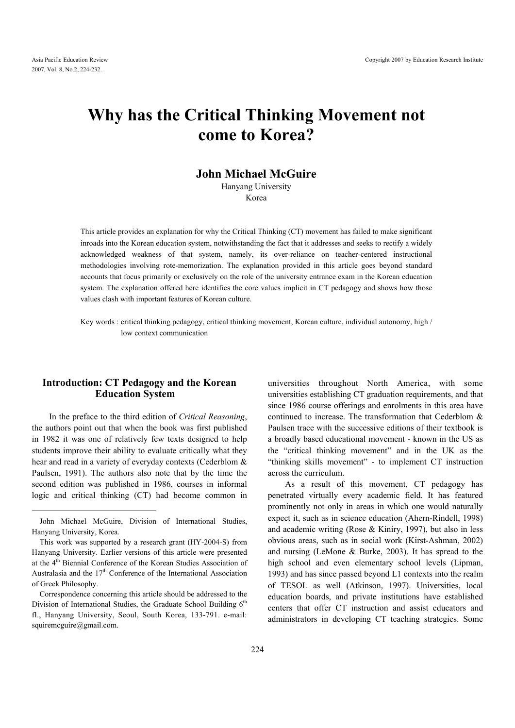# **Why has the Critical Thinking Movement not come to Korea?**

# **John Michael McGuire**

Hanyang University Korea

This article provides an explanation for why the Critical Thinking (CT) movement has failed to make significant inroads into the Korean education system, notwithstanding the fact that it addresses and seeks to rectify a widely acknowledged weakness of that system, namely, its over-reliance on teacher-centered instructional methodologies involving rote-memorization. The explanation provided in this article goes beyond standard accounts that focus primarily or exclusively on the role of the university entrance exam in the Korean education system. The explanation offered here identifies the core values implicit in CT pedagogy and shows how those values clash with important features of Korean culture.

Key words : critical thinking pedagogy, critical thinking movement, Korean culture, individual autonomy, high / low context communication

# **Introduction: CT Pedagogy and the Korean Education System**

In the preface to the third edition of *Critical Reasoning*, the authors point out that when the book was first published in 1982 it was one of relatively few texts designed to help students improve their ability to evaluate critically what they hear and read in a variety of everyday contexts (Cederblom & Paulsen, 1991). The authors also note that by the time the second edition was published in 1986, courses in informal logic and critical thinking (CT) had become common in

 $\overline{a}$ 

universities throughout North America, with some universities establishing CT graduation requirements, and that since 1986 course offerings and enrolments in this area have continued to increase. The transformation that Cederblom & Paulsen trace with the successive editions of their textbook is a broadly based educational movement - known in the US as the "critical thinking movement" and in the UK as the "thinking skills movement" - to implement CT instruction across the curriculum.

As a result of this movement, CT pedagogy has penetrated virtually every academic field. It has featured prominently not only in areas in which one would naturally expect it, such as in science education (Ahern-Rindell, 1998) and academic writing (Rose & Kiniry, 1997), but also in less obvious areas, such as in social work (Kirst-Ashman, 2002) and nursing (LeMone & Burke, 2003). It has spread to the high school and even elementary school levels (Lipman, 1993) and has since passed beyond L1 contexts into the realm of TESOL as well (Atkinson, 1997). Universities, local education boards, and private institutions have established centers that offer CT instruction and assist educators and administrators in developing CT teaching strategies. Some

John Michael McGuire, Division of International Studies, Hanyang University, Korea.

This work was supported by a research grant (HY-2004-S) from Hanyang University. Earlier versions of this article were presented at the 4<sup>th</sup> Biennial Conference of the Korean Studies Association of Australasia and the  $17<sup>th</sup>$  Conference of the International Association of Greek Philosophy.

Correspondence concerning this article should be addressed to the Division of International Studies, the Graduate School Building  $6<sup>th</sup>$ fl., Hanyang University, Seoul, South Korea, 133-791. e-mail: squiremcguire@gmail.com.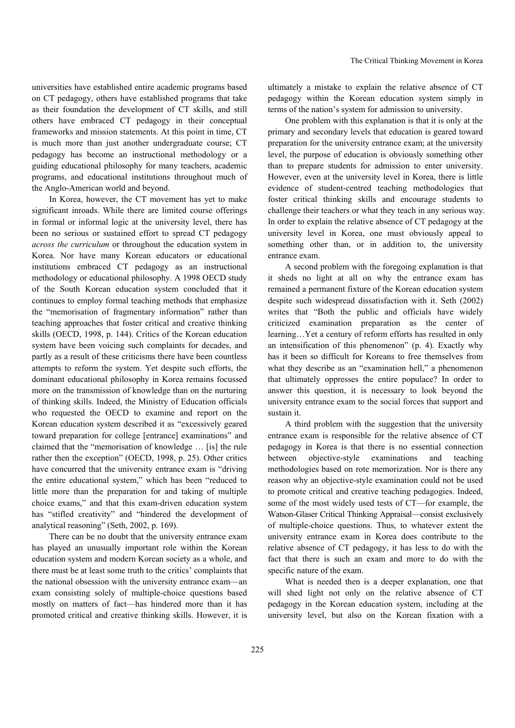universities have established entire academic programs based on CT pedagogy, others have established programs that take as their foundation the development of CT skills, and still others have embraced CT pedagogy in their conceptual frameworks and mission statements. At this point in time, CT is much more than just another undergraduate course; CT pedagogy has become an instructional methodology or a guiding educational philosophy for many teachers, academic programs, and educational institutions throughout much of the Anglo-American world and beyond.

In Korea, however, the CT movement has yet to make significant inroads. While there are limited course offerings in formal or informal logic at the university level, there has been no serious or sustained effort to spread CT pedagogy *across the curriculum* or throughout the education system in Korea. Nor have many Korean educators or educational institutions embraced CT pedagogy as an instructional methodology or educational philosophy. A 1998 OECD study of the South Korean education system concluded that it continues to employ formal teaching methods that emphasize the "memorisation of fragmentary information" rather than teaching approaches that foster critical and creative thinking skills (OECD, 1998, p. 144). Critics of the Korean education system have been voicing such complaints for decades, and partly as a result of these criticisms there have been countless attempts to reform the system. Yet despite such efforts, the dominant educational philosophy in Korea remains focussed more on the transmission of knowledge than on the nurturing of thinking skills. Indeed, the Ministry of Education officials who requested the OECD to examine and report on the Korean education system described it as "excessively geared toward preparation for college [entrance] examinations" and claimed that the "memorisation of knowledge … [is] the rule rather then the exception" (OECD, 1998, p. 25). Other critics have concurred that the university entrance exam is "driving the entire educational system," which has been "reduced to little more than the preparation for and taking of multiple choice exams," and that this exam-driven education system has "stifled creativity" and "hindered the development of analytical reasoning" (Seth, 2002, p. 169).

There can be no doubt that the university entrance exam has played an unusually important role within the Korean education system and modern Korean society as a whole, and there must be at least some truth to the critics' complaints that the national obsession with the university entrance exam—an exam consisting solely of multiple-choice questions based mostly on matters of fact—has hindered more than it has promoted critical and creative thinking skills. However, it is

ultimately a mistake to explain the relative absence of CT pedagogy within the Korean education system simply in terms of the nation's system for admission to university.

One problem with this explanation is that it is only at the primary and secondary levels that education is geared toward preparation for the university entrance exam; at the university level, the purpose of education is obviously something other than to prepare students for admission to enter university. However, even at the university level in Korea, there is little evidence of student-centred teaching methodologies that foster critical thinking skills and encourage students to challenge their teachers or what they teach in any serious way. In order to explain the relative absence of CT pedagogy at the university level in Korea, one must obviously appeal to something other than, or in addition to, the university entrance exam.

A second problem with the foregoing explanation is that it sheds no light at all on why the entrance exam has remained a permanent fixture of the Korean education system despite such widespread dissatisfaction with it. Seth (2002) writes that "Both the public and officials have widely criticized examination preparation as the center of learning…Yet a century of reform efforts has resulted in only an intensification of this phenomenon" (p. 4). Exactly why has it been so difficult for Koreans to free themselves from what they describe as an "examination hell," a phenomenon that ultimately oppresses the entire populace? In order to answer this question, it is necessary to look beyond the university entrance exam to the social forces that support and sustain it.

A third problem with the suggestion that the university entrance exam is responsible for the relative absence of CT pedagogy in Korea is that there is no essential connection between objective-style examinations and teaching methodologies based on rote memorization. Nor is there any reason why an objective-style examination could not be used to promote critical and creative teaching pedagogies. Indeed, some of the most widely used tests of CT—for example, the Watson-Glaser Critical Thinking Appraisal—consist exclusively of multiple-choice questions. Thus, to whatever extent the university entrance exam in Korea does contribute to the relative absence of CT pedagogy, it has less to do with the fact that there is such an exam and more to do with the specific nature of the exam.

What is needed then is a deeper explanation, one that will shed light not only on the relative absence of CT pedagogy in the Korean education system, including at the university level, but also on the Korean fixation with a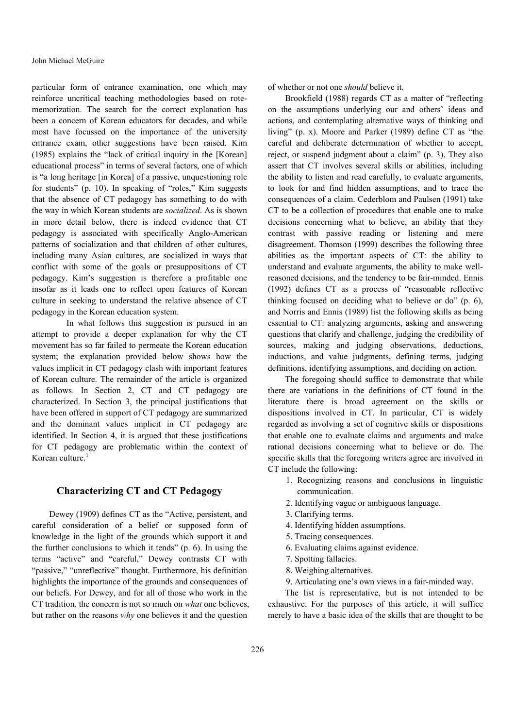particular form of entrance examination, one which may reinforce uncritical teaching methodologies based on rotememorization. The search for the correct explanation has been a concern of Korean educators for decades, and while most have focussed on the importance of the university entrance exam, other suggestions have been raised. Kim (1985) explains the "lack of critical inquiry in the [Korean] educational process" in terms of several factors, one of which is "a long heritage [in Korea] of a passive, unquestioning role for students" (p. 10). In speaking of "roles," Kim suggests that the absence of CT pedagogy has something to do with the way in which Korean students are *socialized*. As is shown in more detail below, there is indeed evidence that CT pedagogy is associated with specifically Anglo-American patterns of socialization and that children of other cultures, including many Asian cultures, are socialized in ways that conflict with some of the goals or presuppositions of CT pedagogy. Kim's suggestion is therefore a profitable one insofar as it leads one to reflect upon features of Korean culture in seeking to understand the relative absence of CT pedagogy in the Korean education system.

 In what follows this suggestion is pursued in an attempt to provide a deeper explanation for why the CT movement has so far failed to permeate the Korean education system; the explanation provided below shows how the values implicit in CT pedagogy clash with important features of Korean culture. The remainder of the article is organized as follows. In Section 2, CT and CT pedagogy are characterized. In Section 3, the principal justifications that have been offered in support of CT pedagogy are summarized and the dominant values implicit in CT pedagogy are identified. In Section 4, it is argued that these justifications for CT pedagogy are problematic within the context of Korean culture. $<sup>1</sup>$ </sup>

## **Characterizing CT and CT Pedagogy**

Dewey (1909) defines CT as the "Active, persistent, and careful consideration of a belief or supposed form of knowledge in the light of the grounds which support it and the further conclusions to which it tends" (p. 6). In using the terms "active" and "careful," Dewey contrasts CT with "passive," "unreflective" thought. Furthermore, his definition highlights the importance of the grounds and consequences of our beliefs. For Dewey, and for all of those who work in the CT tradition, the concern is not so much on *what* one believes, but rather on the reasons *why* one believes it and the question

of whether or not one *should* believe it.

Brookfield (1988) regards CT as a matter of "reflecting on the assumptions underlying our and others' ideas and actions, and contemplating alternative ways of thinking and living" (p. x). Moore and Parker (1989) define CT as "the careful and deliberate determination of whether to accept, reject, or suspend judgment about a claim" (p. 3). They also assert that CT involves several skills or abilities, including the ability to listen and read carefully, to evaluate arguments, to look for and find hidden assumptions, and to trace the consequences of a claim. Cederblom and Paulsen (1991) take CT to be a collection of procedures that enable one to make decisions concerning what to believe, an ability that they contrast with passive reading or listening and mere disagreement. Thomson (1999) describes the following three abilities as the important aspects of CT: the ability to understand and evaluate arguments, the ability to make wellreasoned decisions, and the tendency to be fair-minded. Ennis (1992) defines CT as a process of "reasonable reflective thinking focused on deciding what to believe or do" (p. 6), and Norris and Ennis (1989) list the following skills as being essential to CT: analyzing arguments, asking and answering questions that clarify and challenge, judging the credibility of sources, making and judging observations, deductions, inductions, and value judgments, defining terms, judging definitions, identifying assumptions, and deciding on action.

The foregoing should suffice to demonstrate that while there are variations in the definitions of CT found in the literature there is broad agreement on the skills or dispositions involved in CT. In particular, CT is widely regarded as involving a set of cognitive skills or dispositions that enable one to evaluate claims and arguments and make rational decisions concerning what to believe or do. The specific skills that the foregoing writers agree are involved in CT include the following:

- 1. Recognizing reasons and conclusions in linguistic communication.
- 2. Identifying vague or ambiguous language.
- 3. Clarifying terms.
- 4. Identifying hidden assumptions.
- 5. Tracing consequences.
- 6. Evaluating claims against evidence.
- 7. Spotting fallacies.
- 8. Weighing alternatives.
- 9. Articulating one's own views in a fair-minded way.

The list is representative, but is not intended to be exhaustive. For the purposes of this article, it will suffice merely to have a basic idea of the skills that are thought to be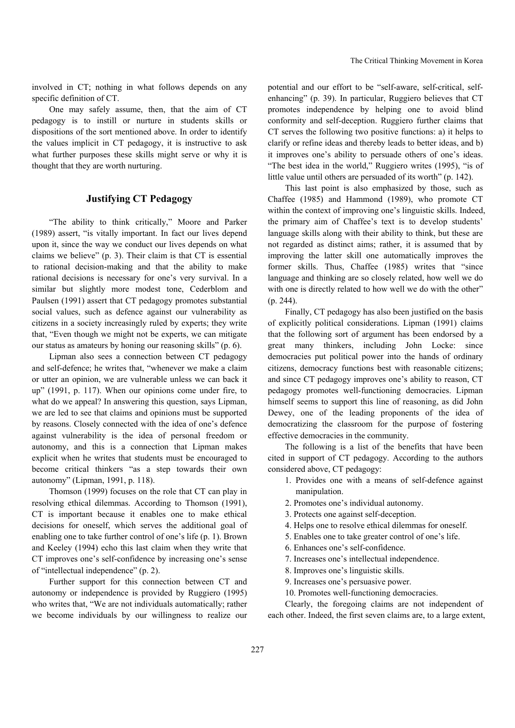involved in CT; nothing in what follows depends on any specific definition of CT.

One may safely assume, then, that the aim of CT pedagogy is to instill or nurture in students skills or dispositions of the sort mentioned above. In order to identify the values implicit in CT pedagogy, it is instructive to ask what further purposes these skills might serve or why it is thought that they are worth nurturing.

## **Justifying CT Pedagogy**

"The ability to think critically," Moore and Parker (1989) assert, "is vitally important. In fact our lives depend upon it, since the way we conduct our lives depends on what claims we believe" (p. 3). Their claim is that CT is essential to rational decision-making and that the ability to make rational decisions is necessary for one's very survival. In a similar but slightly more modest tone, Cederblom and Paulsen (1991) assert that CT pedagogy promotes substantial social values, such as defence against our vulnerability as citizens in a society increasingly ruled by experts; they write that, "Even though we might not be experts, we can mitigate our status as amateurs by honing our reasoning skills" (p. 6).

Lipman also sees a connection between CT pedagogy and self-defence; he writes that, "whenever we make a claim or utter an opinion, we are vulnerable unless we can back it up" (1991, p. 117). When our opinions come under fire, to what do we appeal? In answering this question, says Lipman, we are led to see that claims and opinions must be supported by reasons. Closely connected with the idea of one's defence against vulnerability is the idea of personal freedom or autonomy, and this is a connection that Lipman makes explicit when he writes that students must be encouraged to become critical thinkers "as a step towards their own autonomy" (Lipman, 1991, p. 118).

Thomson (1999) focuses on the role that CT can play in resolving ethical dilemmas. According to Thomson (1991), CT is important because it enables one to make ethical decisions for oneself, which serves the additional goal of enabling one to take further control of one's life (p. 1). Brown and Keeley (1994) echo this last claim when they write that CT improves one's self-confidence by increasing one's sense of "intellectual independence" (p. 2).

Further support for this connection between CT and autonomy or independence is provided by Ruggiero (1995) who writes that, "We are not individuals automatically; rather we become individuals by our willingness to realize our

potential and our effort to be "self-aware, self-critical, selfenhancing" (p. 39). In particular, Ruggiero believes that CT promotes independence by helping one to avoid blind conformity and self-deception. Ruggiero further claims that CT serves the following two positive functions: a) it helps to clarify or refine ideas and thereby leads to better ideas, and b) it improves one's ability to persuade others of one's ideas. "The best idea in the world," Ruggiero writes (1995), "is of little value until others are persuaded of its worth" (p. 142).

This last point is also emphasized by those, such as Chaffee (1985) and Hammond (1989), who promote CT within the context of improving one's linguistic skills. Indeed, the primary aim of Chaffee's text is to develop students' language skills along with their ability to think, but these are not regarded as distinct aims; rather, it is assumed that by improving the latter skill one automatically improves the former skills. Thus, Chaffee (1985) writes that "since language and thinking are so closely related, how well we do with one is directly related to how well we do with the other" (p. 244).

Finally, CT pedagogy has also been justified on the basis of explicitly political considerations. Lipman (1991) claims that the following sort of argument has been endorsed by a great many thinkers, including John Locke: since democracies put political power into the hands of ordinary citizens, democracy functions best with reasonable citizens; and since CT pedagogy improves one's ability to reason, CT pedagogy promotes well-functioning democracies. Lipman himself seems to support this line of reasoning, as did John Dewey, one of the leading proponents of the idea of democratizing the classroom for the purpose of fostering effective democracies in the community.

The following is a list of the benefits that have been cited in support of CT pedagogy. According to the authors considered above, CT pedagogy:

- 1. Provides one with a means of self-defence against manipulation.
- 2. Promotes one's individual autonomy.
- 3. Protects one against self-deception.
- 4. Helps one to resolve ethical dilemmas for oneself.
- 5. Enables one to take greater control of one's life.
- 6. Enhances one's self-confidence.
- 7. Increases one's intellectual independence.
- 8. Improves one's linguistic skills.
- 9. Increases one's persuasive power.
- 10. Promotes well-functioning democracies.

Clearly, the foregoing claims are not independent of each other. Indeed, the first seven claims are, to a large extent,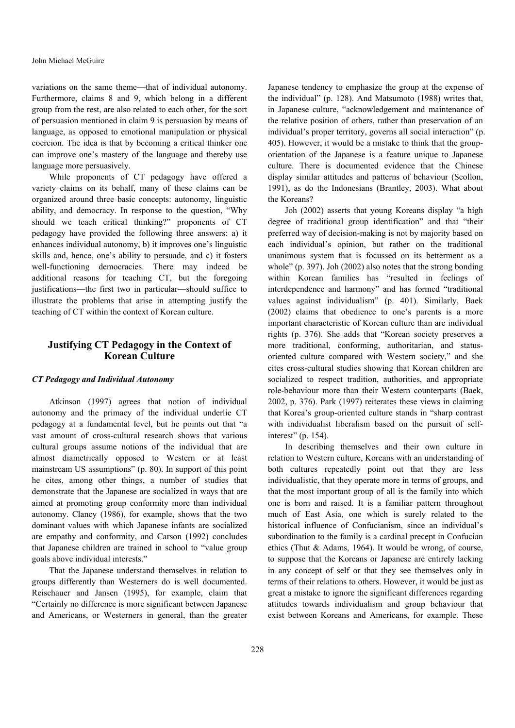variations on the same theme—that of individual autonomy. Furthermore, claims 8 and 9, which belong in a different group from the rest, are also related to each other, for the sort of persuasion mentioned in claim 9 is persuasion by means of language, as opposed to emotional manipulation or physical coercion. The idea is that by becoming a critical thinker one can improve one's mastery of the language and thereby use language more persuasively.

While proponents of CT pedagogy have offered a variety claims on its behalf, many of these claims can be organized around three basic concepts: autonomy, linguistic ability, and democracy. In response to the question, "Why should we teach critical thinking?" proponents of CT pedagogy have provided the following three answers: a) it enhances individual autonomy, b) it improves one's linguistic skills and, hence, one's ability to persuade, and c) it fosters well-functioning democracies. There may indeed be additional reasons for teaching CT, but the foregoing justifications—the first two in particular—should suffice to illustrate the problems that arise in attempting justify the teaching of CT within the context of Korean culture.

# **Justifying CT Pedagogy in the Context of Korean Culture**

#### *CT Pedagogy and Individual Autonomy*

Atkinson (1997) agrees that notion of individual autonomy and the primacy of the individual underlie CT pedagogy at a fundamental level, but he points out that "a vast amount of cross-cultural research shows that various cultural groups assume notions of the individual that are almost diametrically opposed to Western or at least mainstream US assumptions" (p. 80). In support of this point he cites, among other things, a number of studies that demonstrate that the Japanese are socialized in ways that are aimed at promoting group conformity more than individual autonomy. Clancy (1986), for example, shows that the two dominant values with which Japanese infants are socialized are empathy and conformity, and Carson (1992) concludes that Japanese children are trained in school to "value group goals above individual interests."

That the Japanese understand themselves in relation to groups differently than Westerners do is well documented. Reischauer and Jansen (1995), for example, claim that "Certainly no difference is more significant between Japanese and Americans, or Westerners in general, than the greater Japanese tendency to emphasize the group at the expense of the individual" (p. 128). And Matsumoto (1988) writes that, in Japanese culture, "acknowledgement and maintenance of the relative position of others, rather than preservation of an individual's proper territory, governs all social interaction" (p. 405). However, it would be a mistake to think that the grouporientation of the Japanese is a feature unique to Japanese culture. There is documented evidence that the Chinese display similar attitudes and patterns of behaviour (Scollon, 1991), as do the Indonesians (Brantley, 2003). What about the Koreans?

Joh (2002) asserts that young Koreans display "a high degree of traditional group identification" and that "their preferred way of decision-making is not by majority based on each individual's opinion, but rather on the traditional unanimous system that is focussed on its betterment as a whole" (p. 397). Joh (2002) also notes that the strong bonding within Korean families has "resulted in feelings of interdependence and harmony" and has formed "traditional values against individualism" (p. 401). Similarly, Baek (2002) claims that obedience to one's parents is a more important characteristic of Korean culture than are individual rights (p. 376). She adds that "Korean society preserves a more traditional, conforming, authoritarian, and statusoriented culture compared with Western society," and she cites cross-cultural studies showing that Korean children are socialized to respect tradition, authorities, and appropriate role-behaviour more than their Western counterparts (Baek, 2002, p. 376). Park (1997) reiterates these views in claiming that Korea's group-oriented culture stands in "sharp contrast with individualist liberalism based on the pursuit of selfinterest" (p. 154).

In describing themselves and their own culture in relation to Western culture, Koreans with an understanding of both cultures repeatedly point out that they are less individualistic, that they operate more in terms of groups, and that the most important group of all is the family into which one is born and raised. It is a familiar pattern throughout much of East Asia, one which is surely related to the historical influence of Confucianism, since an individual's subordination to the family is a cardinal precept in Confucian ethics (Thut & Adams, 1964). It would be wrong, of course, to suppose that the Koreans or Japanese are entirely lacking in any concept of self or that they see themselves only in terms of their relations to others. However, it would be just as great a mistake to ignore the significant differences regarding attitudes towards individualism and group behaviour that exist between Koreans and Americans, for example. These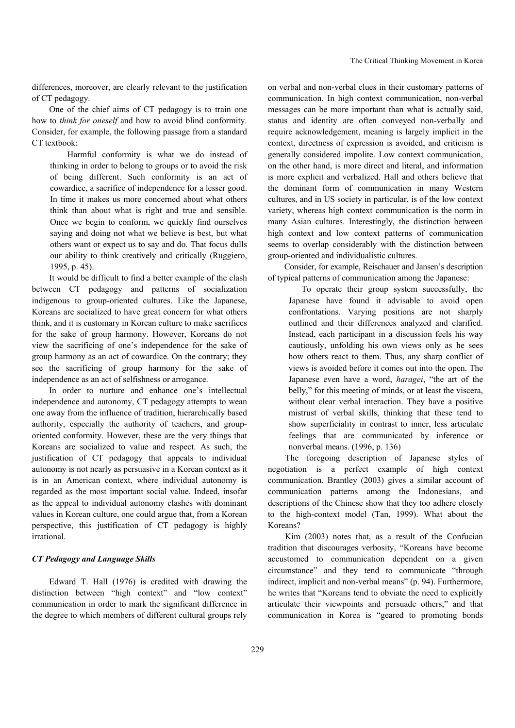differences, moreover, are clearly relevant to the justification of CT pedagogy.

One of the chief aims of CT pedagogy is to train one how to *think for oneself* and how to avoid blind conformity. Consider, for example, the following passage from a standard CT textbook:

Harmful conformity is what we do instead of thinking in order to belong to groups or to avoid the risk of being different. Such conformity is an act of cowardice, a sacrifice of independence for a lesser good. In time it makes us more concerned about what others think than about what is right and true and sensible. Once we begin to conform, we quickly find ourselves saying and doing not what we believe is best, but what others want or expect us to say and do. That focus dulls our ability to think creatively and critically (Ruggiero, 1995, p. 45).

It would be difficult to find a better example of the clash between CT pedagogy and patterns of socialization indigenous to group-oriented cultures. Like the Japanese, Koreans are socialized to have great concern for what others think, and it is customary in Korean culture to make sacrifices for the sake of group harmony. However, Koreans do not view the sacrificing of one's independence for the sake of group harmony as an act of cowardice. On the contrary; they see the sacrificing of group harmony for the sake of independence as an act of selfishness or arrogance.

In order to nurture and enhance one's intellectual independence and autonomy, CT pedagogy attempts to wean one away from the influence of tradition, hierarchically based authority, especially the authority of teachers, and grouporiented conformity. However, these are the very things that Koreans are socialized to value and respect. As such, the justification of CT pedagogy that appeals to individual autonomy is not nearly as persuasive in a Korean context as it is in an American context, where individual autonomy is regarded as the most important social value. Indeed, insofar as the appeal to individual autonomy clashes with dominant values in Korean culture, one could argue that, from a Korean perspective, this justification of CT pedagogy is highly irrational.

## *CT Pedagogy and Language Skills*

Edward T. Hall (1976) is credited with drawing the distinction between "high context" and "low context" communication in order to mark the significant difference in the degree to which members of different cultural groups rely on verbal and non-verbal clues in their customary patterns of communication. In high context communication, non-verbal messages can be more important than what is actually said, status and identity are often conveyed non-verbally and require acknowledgement, meaning is largely implicit in the context, directness of expression is avoided, and criticism is generally considered impolite. Low context communication, on the other hand, is more direct and literal, and information is more explicit and verbalized. Hall and others believe that the dominant form of communication in many Western cultures, and in US society in particular, is of the low context variety, whereas high context communication is the norm in many Asian cultures. Interestingly, the distinction between high context and low context patterns of communication seems to overlap considerably with the distinction between group-oriented and individualistic cultures.

Consider, for example, Reischauer and Jansen's description of typical patterns of communication among the Japanese:

To operate their group system successfully, the Japanese have found it advisable to avoid open confrontations. Varying positions are not sharply outlined and their differences analyzed and clarified. Instead, each participant in a discussion feels his way cautiously, unfolding his own views only as he sees how others react to them. Thus, any sharp conflict of views is avoided before it comes out into the open. The Japanese even have a word, *haragei*, "the art of the belly," for this meeting of minds, or at least the viscera, without clear verbal interaction. They have a positive mistrust of verbal skills, thinking that these tend to show superficiality in contrast to inner, less articulate feelings that are communicated by inference or nonverbal means. (1996, p. 136)

The foregoing description of Japanese styles of negotiation is a perfect example of high context communication. Brantley (2003) gives a similar account of communication patterns among the Indonesians, and descriptions of the Chinese show that they too adhere closely to the high-context model (Tan, 1999). What about the Koreans?

Kim (2003) notes that, as a result of the Confucian tradition that discourages verbosity, "Koreans have become accustomed to communication dependent on a given circumstance" and they tend to communicate "through indirect, implicit and non-verbal means" (p. 94). Furthermore, he writes that "Koreans tend to obviate the need to explicitly articulate their viewpoints and persuade others," and that communication in Korea is "geared to promoting bonds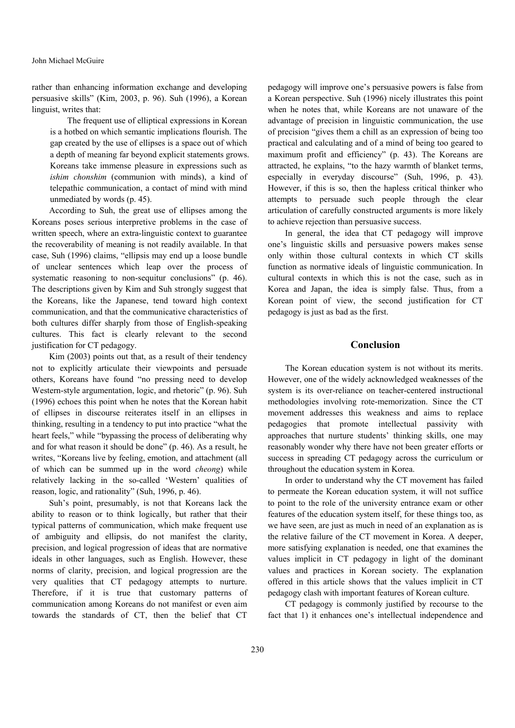rather than enhancing information exchange and developing persuasive skills" (Kim, 2003, p. 96). Suh (1996), a Korean linguist, writes that:

The frequent use of elliptical expressions in Korean is a hotbed on which semantic implications flourish. The gap created by the use of ellipses is a space out of which a depth of meaning far beyond explicit statements grows. Koreans take immense pleasure in expressions such as *ishim chonshim* (communion with minds), a kind of telepathic communication, a contact of mind with mind unmediated by words (p. 45).

According to Suh, the great use of ellipses among the Koreans poses serious interpretive problems in the case of written speech, where an extra-linguistic context to guarantee the recoverability of meaning is not readily available. In that case, Suh (1996) claims, "ellipsis may end up a loose bundle of unclear sentences which leap over the process of systematic reasoning to non-sequitur conclusions" (p. 46). The descriptions given by Kim and Suh strongly suggest that the Koreans, like the Japanese, tend toward high context communication, and that the communicative characteristics of both cultures differ sharply from those of English-speaking cultures. This fact is clearly relevant to the second justification for CT pedagogy.

Kim (2003) points out that, as a result of their tendency not to explicitly articulate their viewpoints and persuade others, Koreans have found "no pressing need to develop Western-style argumentation, logic, and rhetoric" (p. 96). Suh (1996) echoes this point when he notes that the Korean habit of ellipses in discourse reiterates itself in an ellipses in thinking, resulting in a tendency to put into practice "what the heart feels," while "bypassing the process of deliberating why and for what reason it should be done" (p. 46). As a result, he writes, "Koreans live by feeling, emotion, and attachment (all of which can be summed up in the word *cheong*) while relatively lacking in the so-called 'Western' qualities of reason, logic, and rationality" (Suh, 1996, p. 46).

Suh's point, presumably, is not that Koreans lack the ability to reason or to think logically, but rather that their typical patterns of communication, which make frequent use of ambiguity and ellipsis, do not manifest the clarity, precision, and logical progression of ideas that are normative ideals in other languages, such as English. However, these norms of clarity, precision, and logical progression are the very qualities that CT pedagogy attempts to nurture. Therefore, if it is true that customary patterns of communication among Koreans do not manifest or even aim towards the standards of CT, then the belief that CT

pedagogy will improve one's persuasive powers is false from a Korean perspective. Suh (1996) nicely illustrates this point when he notes that, while Koreans are not unaware of the advantage of precision in linguistic communication, the use of precision "gives them a chill as an expression of being too practical and calculating and of a mind of being too geared to maximum profit and efficiency" (p. 43). The Koreans are attracted, he explains, "to the hazy warmth of blanket terms, especially in everyday discourse" (Suh, 1996, p. 43). However, if this is so, then the hapless critical thinker who attempts to persuade such people through the clear articulation of carefully constructed arguments is more likely to achieve rejection than persuasive success.

In general, the idea that CT pedagogy will improve one's linguistic skills and persuasive powers makes sense only within those cultural contexts in which CT skills function as normative ideals of linguistic communication. In cultural contexts in which this is not the case, such as in Korea and Japan, the idea is simply false. Thus, from a Korean point of view, the second justification for CT pedagogy is just as bad as the first.

# **Conclusion**

The Korean education system is not without its merits. However, one of the widely acknowledged weaknesses of the system is its over-reliance on teacher-centered instructional methodologies involving rote-memorization. Since the CT movement addresses this weakness and aims to replace pedagogies that promote intellectual passivity with approaches that nurture students' thinking skills, one may reasonably wonder why there have not been greater efforts or success in spreading CT pedagogy across the curriculum or throughout the education system in Korea.

In order to understand why the CT movement has failed to permeate the Korean education system, it will not suffice to point to the role of the university entrance exam or other features of the education system itself, for these things too, as we have seen, are just as much in need of an explanation as is the relative failure of the CT movement in Korea. A deeper, more satisfying explanation is needed, one that examines the values implicit in CT pedagogy in light of the dominant values and practices in Korean society. The explanation offered in this article shows that the values implicit in CT pedagogy clash with important features of Korean culture.

CT pedagogy is commonly justified by recourse to the fact that 1) it enhances one's intellectual independence and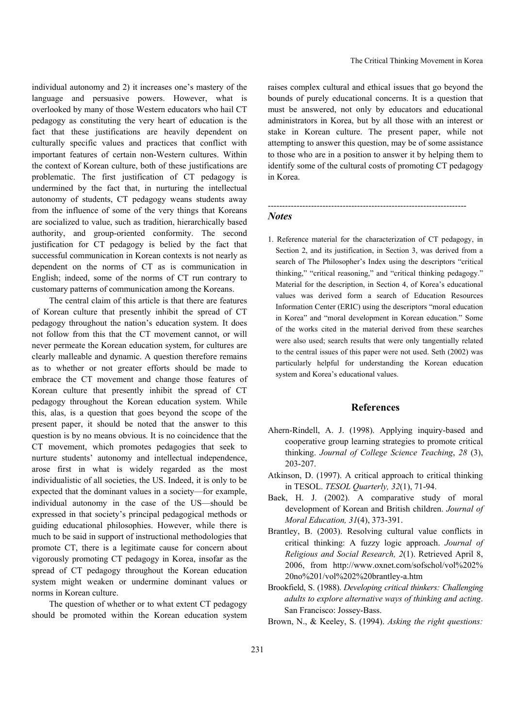individual autonomy and 2) it increases one's mastery of the language and persuasive powers. However, what is overlooked by many of those Western educators who hail CT pedagogy as constituting the very heart of education is the fact that these justifications are heavily dependent on culturally specific values and practices that conflict with important features of certain non-Western cultures. Within the context of Korean culture, both of these justifications are problematic. The first justification of CT pedagogy is undermined by the fact that, in nurturing the intellectual autonomy of students, CT pedagogy weans students away from the influence of some of the very things that Koreans are socialized to value, such as tradition, hierarchically based authority, and group-oriented conformity. The second justification for CT pedagogy is belied by the fact that successful communication in Korean contexts is not nearly as dependent on the norms of CT as is communication in English; indeed, some of the norms of CT run contrary to customary patterns of communication among the Koreans.

The central claim of this article is that there are features of Korean culture that presently inhibit the spread of CT pedagogy throughout the nation's education system. It does not follow from this that the CT movement cannot, or will never permeate the Korean education system, for cultures are clearly malleable and dynamic. A question therefore remains as to whether or not greater efforts should be made to embrace the CT movement and change those features of Korean culture that presently inhibit the spread of CT pedagogy throughout the Korean education system. While this, alas, is a question that goes beyond the scope of the present paper, it should be noted that the answer to this question is by no means obvious. It is no coincidence that the CT movement, which promotes pedagogies that seek to nurture students' autonomy and intellectual independence, arose first in what is widely regarded as the most individualistic of all societies, the US. Indeed, it is only to be expected that the dominant values in a society—for example, individual autonomy in the case of the US—should be expressed in that society's principal pedagogical methods or guiding educational philosophies. However, while there is much to be said in support of instructional methodologies that promote CT, there is a legitimate cause for concern about vigorously promoting CT pedagogy in Korea, insofar as the spread of CT pedagogy throughout the Korean education system might weaken or undermine dominant values or norms in Korean culture.

The question of whether or to what extent CT pedagogy should be promoted within the Korean education system raises complex cultural and ethical issues that go beyond the bounds of purely educational concerns. It is a question that must be answered, not only by educators and educational administrators in Korea, but by all those with an interest or stake in Korean culture. The present paper, while not attempting to answer this question, may be of some assistance to those who are in a position to answer it by helping them to identify some of the cultural costs of promoting CT pedagogy in Korea.

---------------------------------------------------------------------

## *Notes*

1. Reference material for the characterization of CT pedagogy, in Section 2, and its justification, in Section 3, was derived from a search of The Philosopher's Index using the descriptors "critical thinking," "critical reasoning," and "critical thinking pedagogy." Material for the description, in Section 4, of Korea's educational values was derived form a search of Education Resources Information Center (ERIC) using the descriptors "moral education in Korea" and "moral development in Korean education." Some of the works cited in the material derived from these searches were also used; search results that were only tangentially related to the central issues of this paper were not used. Seth (2002) was particularly helpful for understanding the Korean education system and Korea's educational values.

## **References**

- Ahern-Rindell, A. J. (1998). Applying inquiry-based and cooperative group learning strategies to promote critical thinking. *Journal of College Science Teaching*, *28* (3), 203-207.
- Atkinson, D. (1997). A critical approach to critical thinking in TESOL. *TESOL Quarterly, 32*(1), 71-94.
- Baek, H. J. (2002). A comparative study of moral development of Korean and British children. *Journal of Moral Education, 31*(4), 373-391.
- Brantley, B. (2003). Resolving cultural value conflicts in critical thinking: A fuzzy logic approach. *Journal of Religious and Social Research, 2*(1). Retrieved April 8, 2006, from http://www.oxnet.com/sofschol/vol%202% 20no%201/vol%202%20brantley-a.htm
- Brookfield, S. (1988). *Developing critical thinkers: Challenging adults to explore alternative ways of thinking and acting*. San Francisco: Jossey-Bass.
- Brown, N., & Keeley, S. (1994). *Asking the right questions:*